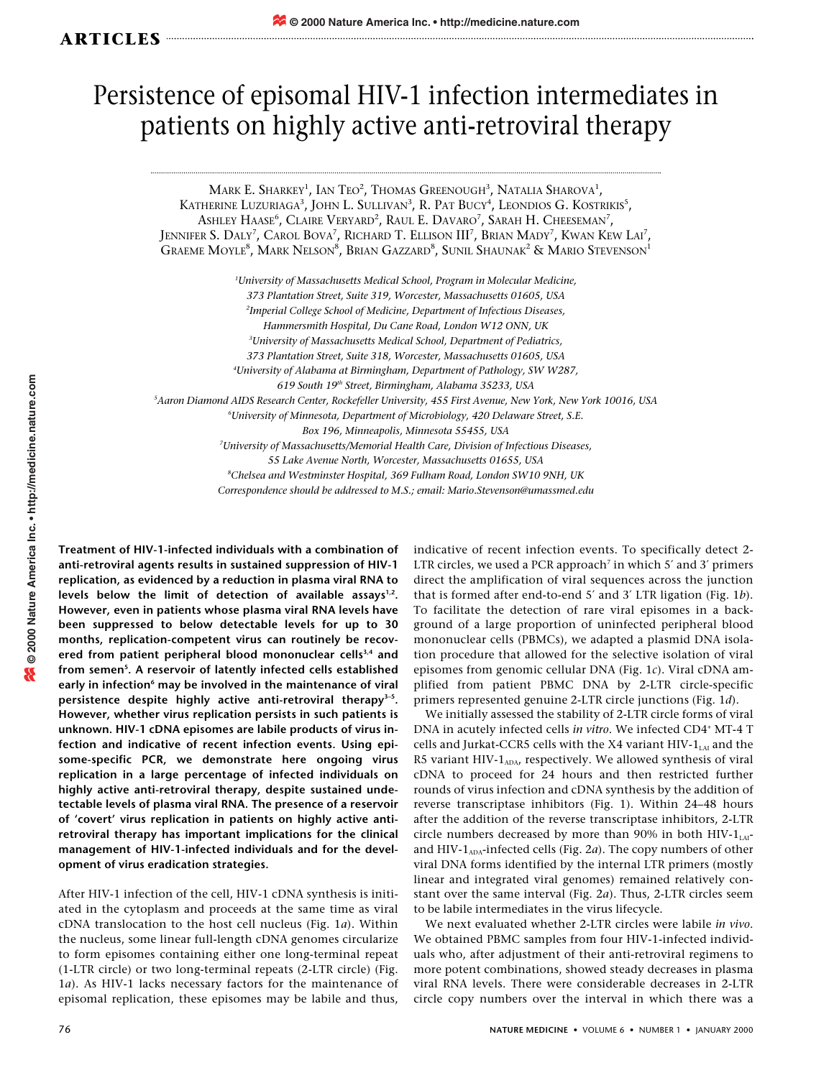## Persistence of episomal HIV-1 infection intermediates in patients on highly active anti-retroviral therapy

Mark E. Sharkey<sup>1</sup>, Ian Teo<sup>2</sup>, Thomas Greenough<sup>3</sup>, Natalia Sharova<sup>1</sup>, KATHERINE LUZURIAGA<sup>3</sup>, JOHN L. SULLIVAN<sup>3</sup>, R. PAT BUCY<sup>4</sup>, LEONDIOS G. KOSTRIKIS<sup>5</sup>, Ashley Haase<sup>6</sup>, Claire Veryard<sup>2</sup>, Raul E. Davaro<sup>7</sup>, Sarah H. Cheeseman<sup>7</sup>, Jennifer S. Daly<sup>7</sup>, Carol Bova<sup>7</sup>, Richard T. Ellison III<sup>7</sup>, Brian Mady<sup>7</sup>, Kwan Kew Lai<sup>7</sup>, Graeme Moyle<sup>8</sup>, Mark Nelson<sup>8</sup>, Brian Gazzard<sup>8</sup>, Sunil Shaunak<sup>2</sup> & Mario Stevenson<sup>1</sup>

*1 University of Massachusetts Medical School, Program in Molecular Medicine, 373 Plantation Street, Suite 319, Worcester, Massachusetts 01605, USA 2 Imperial College School of Medicine, Department of Infectious Diseases, Hammersmith Hospital, Du Cane Road, London W12 ONN, UK 3 University of Massachusetts Medical School, Department of Pediatrics, 373 Plantation Street, Suite 318, Worcester, Massachusetts 01605, USA 4 University of Alabama at Birmingham, Department of Pathology, SW W287, 619 South 19th Street, Birmingham, Alabama 35233, USA 5 Aaron Diamond AIDS Research Center, Rockefeller University, 455 First Avenue, New York, New York 10016, USA 6 University of Minnesota, Department of Microbiology, 420 Delaware Street, S.E. Box 196, Minneapolis, Minnesota 55455, USA 7 University of Massachusetts/Memorial Health Care, Division of Infectious Diseases, 55 Lake Avenue North, Worcester, Massachusetts 01655, USA 8 Chelsea and Westminster Hospital, 369 Fulham Road, London SW10 9NH, UK Correspondence should be addressed to M.S.; email: Mario.Stevenson@umassmed.edu*

**Treatment of HIV-1-infected individuals with a combination of anti-retroviral agents results in sustained suppression of HIV-1 replication, as evidenced by a reduction in plasma viral RNA to** levels below the limit of detection of available assays<sup>1,2</sup>. **However, even in patients whose plasma viral RNA levels have been suppressed to below detectable levels for up to 30 months, replication-competent virus can routinely be recovered from patient peripheral blood mononuclear cells3,4 and from semen5 . A reservoir of latently infected cells established** early in infection<sup>6</sup> may be involved in the maintenance of viral **persistence despite highly active anti-retroviral therapy3–5. However, whether virus replication persists in such patients is unknown. HIV-1 cDNA episomes are labile products of virus infection and indicative of recent infection events. Using episome-specific PCR, we demonstrate here ongoing virus replication in a large percentage of infected individuals on highly active anti-retroviral therapy, despite sustained undetectable levels of plasma viral RNA. The presence of a reservoir of 'covert' virus replication in patients on highly active antiretroviral therapy has important implications for the clinical management of HIV-1-infected individuals and for the development of virus eradication strategies.**

After HIV-1 infection of the cell, HIV-1 cDNA synthesis is initiated in the cytoplasm and proceeds at the same time as viral cDNA translocation to the host cell nucleus (Fig. 1*a*). Within the nucleus, some linear full-length cDNA genomes circularize to form episomes containing either one long-terminal repeat (1-LTR circle) or two long-terminal repeats (2-LTR circle) (Fig. 1*a*). As HIV-1 lacks necessary factors for the maintenance of episomal replication, these episomes may be labile and thus,

indicative of recent infection events. To specifically detect 2- LTR circles, we used a PCR approach<sup>7</sup> in which 5 $^{\prime}$  and 3 $^{\prime}$  primers direct the amplification of viral sequences across the junction that is formed after end-to-end 5′ and 3′ LTR ligation (Fig. 1*b*). To facilitate the detection of rare viral episomes in a background of a large proportion of uninfected peripheral blood mononuclear cells (PBMCs), we adapted a plasmid DNA isolation procedure that allowed for the selective isolation of viral episomes from genomic cellular DNA (Fig. 1*c*). Viral cDNA amplified from patient PBMC DNA by 2-LTR circle-specific primers represented genuine 2-LTR circle junctions (Fig. 1*d*).

We initially assessed the stability of 2-LTR circle forms of viral DNA in acutely infected cells *in vitro*. We infected CD4+ MT-4 T cells and Jurkat-CCR5 cells with the X4 variant HIV- $1_{LAI}$  and the R5 variant HIV- $1_{ADA}$ , respectively. We allowed synthesis of viral cDNA to proceed for 24 hours and then restricted further rounds of virus infection and cDNA synthesis by the addition of reverse transcriptase inhibitors (Fig. 1). Within 24–48 hours after the addition of the reverse transcriptase inhibitors, 2-LTR circle numbers decreased by more than 90% in both  $HIV-1<sub>LAI</sub>$ and HIV-1<sub>ADA</sub>-infected cells (Fig. 2a). The copy numbers of other viral DNA forms identified by the internal LTR primers (mostly linear and integrated viral genomes) remained relatively constant over the same interval (Fig. 2*a*). Thus, 2-LTR circles seem to be labile intermediates in the virus lifecycle.

We next evaluated whether 2-LTR circles were labile *in vivo*. We obtained PBMC samples from four HIV-1-infected individuals who, after adjustment of their anti-retroviral regimens to more potent combinations, showed steady decreases in plasma viral RNA levels. There were considerable decreases in 2-LTR circle copy numbers over the interval in which there was a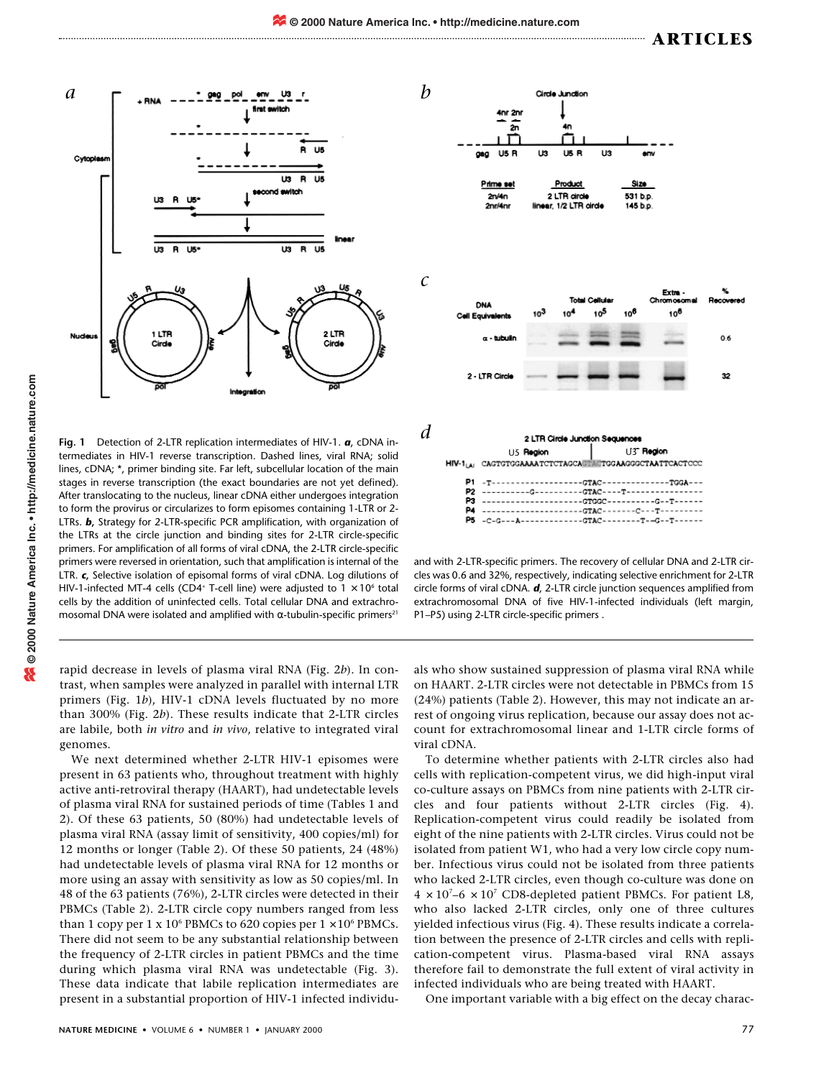$HIV-1_{LAI}$ 

P<sub>2</sub> P3

P<sub>5</sub>

0.6

32



genomes.

**Fig. 1** Detection of 2-LTR replication intermediates of HIV-1. *a*, cDNA intermediates in HIV-1 reverse transcription. Dashed lines, viral RNA; solid lines, cDNA; \*, primer binding site. Far left, subcellular location of the main stages in reverse transcription (the exact boundaries are not yet defined). After translocating to the nucleus, linear cDNA either undergoes integration to form the provirus or circularizes to form episomes containing 1-LTR or 2- LTRs. *b***,** Strategy for 2-LTR-specific PCR amplification, with organization of the LTRs at the circle junction and binding sites for 2-LTR circle-specific primers. For amplification of all forms of viral cDNA, the 2-LTR circle-specific primers were reversed in orientation, such that amplification is internal of the LTR. *c***,** Selective isolation of episomal forms of viral cDNA. Log dilutions of HIV-1-infected MT-4 cells (CD4<sup>+</sup> T-cell line) were adjusted to  $1 \times 10^6$  total cells by the addition of uninfected cells. Total cellular DNA and extrachromosomal DNA were isolated and amplified with α-tubulin-specific primers<sup>21</sup>

rapid decrease in levels of plasma viral RNA (Fig. 2*b*). In contrast, when samples were analyzed in parallel with internal LTR primers (Fig. 1*b*), HIV-1 cDNA levels fluctuated by no more than 300% (Fig. 2*b*). These results indicate that 2-LTR circles are labile, both *in vitro* and *in vivo*, relative to integrated viral

We next determined whether 2-LTR HIV-1 episomes were present in 63 patients who, throughout treatment with highly active anti-retroviral therapy (HAART), had undetectable levels of plasma viral RNA for sustained periods of time (Tables 1 and 2). Of these 63 patients, 50 (80%) had undetectable levels of plasma viral RNA (assay limit of sensitivity, 400 copies/ml) for 12 months or longer (Table 2). Of these 50 patients, 24 (48%) had undetectable levels of plasma viral RNA for 12 months or more using an assay with sensitivity as low as 50 copies/ml. In 48 of the 63 patients (76%), 2-LTR circles were detected in their PBMCs (Table 2). 2-LTR circle copy numbers ranged from less than 1 copy per 1 x 10<sup>6</sup> PBMCs to 620 copies per  $1 \times 10^6$  PBMCs. There did not seem to be any substantial relationship between the frequency of 2-LTR circles in patient PBMCs and the time during which plasma viral RNA was undetectable (Fig. 3). These data indicate that labile replication intermediates are present in a substantial proportion of HIV-1 infected individuals who show sustained suppression of plasma viral RNA while on HAART. 2-LTR circles were not detectable in PBMCs from 15 (24%) patients (Table 2). However, this may not indicate an arrest of ongoing virus replication, because our assay does not account for extrachromosomal linear and 1-LTR circle forms of and with 2-LTR-specific primers. The recovery of cellular DNA and 2-LTR circles was 0.6 and 32%, respectively, indicating selective enrichment for 2-LTR circle forms of viral cDNA. *d*, 2-LTR circle junction sequences amplified from extrachromosomal DNA of five HIV-1-infected individuals (left margin, P1–P5) using 2-LTR circle-specific primers .

----------G-----------GTAC----T---------

---------------------GTGGC----------G--T---------------------------GTAC-------C---T--------

viral cDNA. To determine whether patients with 2-LTR circles also had cells with replication-competent virus, we did high-input viral co-culture assays on PBMCs from nine patients with 2-LTR circles and four patients without 2-LTR circles (Fig. 4). Replication-competent virus could readily be isolated from eight of the nine patients with 2-LTR circles. Virus could not be isolated from patient W1, who had a very low circle copy number. Infectious virus could not be isolated from three patients who lacked 2-LTR circles, even though co-culture was done on  $4 \times 10^{7}$ –6  $\times 10^{7}$  CD8-depleted patient PBMCs. For patient L8, who also lacked 2-LTR circles, only one of three cultures yielded infectious virus (Fig. 4). These results indicate a correlation between the presence of 2-LTR circles and cells with replication-competent virus. Plasma-based viral RNA assays therefore fail to demonstrate the full extent of viral activity in infected individuals who are being treated with HAART.

One important variable with a big effect on the decay charac-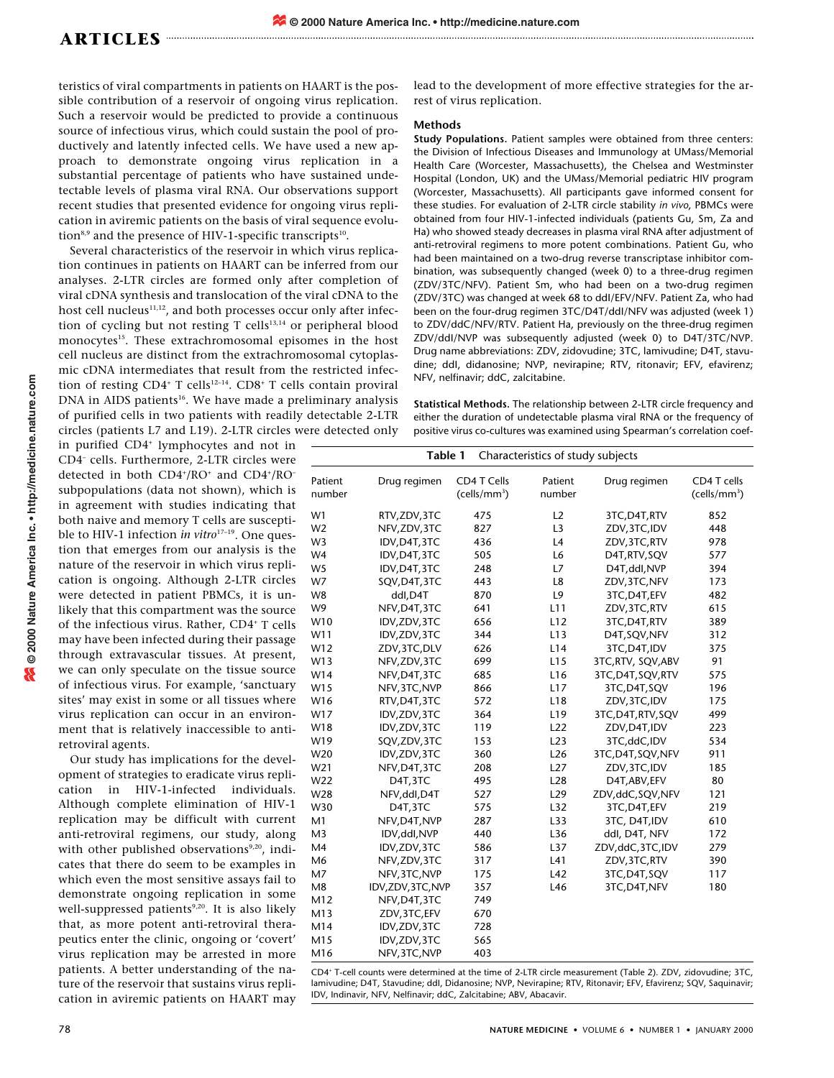teristics of viral compartments in patients on HAART is the possible contribution of a reservoir of ongoing virus replication. Such a reservoir would be predicted to provide a continuous source of infectious virus, which could sustain the pool of productively and latently infected cells. We have used a new approach to demonstrate ongoing virus replication in a substantial percentage of patients who have sustained undetectable levels of plasma viral RNA. Our observations support recent studies that presented evidence for ongoing virus replication in aviremic patients on the basis of viral sequence evolution<sup>8,9</sup> and the presence of HIV-1-specific transcripts<sup>10</sup>.

Several characteristics of the reservoir in which virus replication continues in patients on HAART can be inferred from our analyses. 2-LTR circles are formed only after completion of viral cDNA synthesis and translocation of the viral cDNA to the host cell nucleus $11,12$ , and both processes occur only after infection of cycling but not resting T cells $13,14}$  or peripheral blood monocytes<sup>15</sup>. These extrachromosomal episomes in the host cell nucleus are distinct from the extrachromosomal cytoplasmic cDNA intermediates that result from the restricted infection of resting  $CD4^+$  T cells<sup>12-14</sup>.  $CD8^+$  T cells contain proviral DNA in AIDS patients<sup>16</sup>. We have made a preliminary analysis of purified cells in two patients with readily detectable 2-LTR circles (patients L7 and L19). 2-LTR circles were detected only

in purified CD4+ lymphocytes and not in CD4– cells. Furthermore, 2-LTR circles were detected in both CD4<sup>+</sup>/RO<sup>+</sup> and CD4<sup>+</sup>/RO<sup>-</sup> subpopulations (data not shown), which is in agreement with studies indicating that both naive and memory T cells are susceptible to HIV-1 infection *in vitro*<sup>17-19</sup>. One question that emerges from our analysis is the nature of the reservoir in which virus replication is ongoing. Although 2-LTR circles were detected in patient PBMCs, it is unlikely that this compartment was the source of the infectious virus. Rather, CD4<sup>+</sup> T cells may have been infected during their passage through extravascular tissues. At present, we can only speculate on the tissue source of infectious virus. For example, 'sanctuary sites' may exist in some or all tissues where virus replication can occur in an environment that is relatively inaccessible to antiretroviral agents.

Our study has implications for the development of strategies to eradicate virus replication in HIV-1-infected individuals. Although complete elimination of HIV-1 replication may be difficult with current anti-retroviral regimens, our study, along with other published observations<sup>9,20</sup>, indicates that there do seem to be examples in which even the most sensitive assays fail to demonstrate ongoing replication in some well-suppressed patients<sup>9,20</sup>. It is also likely that, as more potent anti-retroviral therapeutics enter the clinic, ongoing or 'covert' virus replication may be arrested in more patients. A better understanding of the nature of the reservoir that sustains virus replication in aviremic patients on HAART may lead to the development of more effective strategies for the arrest of virus replication.

## **Methods**

**Study Populations.** Patient samples were obtained from three centers: the Division of Infectious Diseases and Immunology at UMass/Memorial Health Care (Worcester, Massachusetts), the Chelsea and Westminster Hospital (London, UK) and the UMass/Memorial pediatric HIV program (Worcester, Massachusetts). All participants gave informed consent for these studies. For evaluation of 2-LTR circle stability *in vivo*, PBMCs were obtained from four HIV-1-infected individuals (patients Gu, Sm, Za and Ha) who showed steady decreases in plasma viral RNA after adjustment of anti-retroviral regimens to more potent combinations. Patient Gu, who had been maintained on a two-drug reverse transcriptase inhibitor combination, was subsequently changed (week 0) to a three-drug regimen (ZDV/3TC/NFV). Patient Sm, who had been on a two-drug regimen (ZDV/3TC) was changed at week 68 to ddI/EFV/NFV. Patient Za, who had been on the four-drug regimen 3TC/D4T/ddI/NFV was adjusted (week 1) to ZDV/ddC/NFV/RTV. Patient Ha, previously on the three-drug regimen ZDV/ddI/NVP was subsequently adjusted (week 0) to D4T/3TC/NVP. Drug name abbreviations: ZDV, zidovudine; 3TC, lamivudine; D4T, stavudine; ddI, didanosine; NVP, nevirapine; RTV, ritonavir; EFV, efavirenz; NFV, nelfinavir; ddC, zalcitabine.

**Statistical Methods.** The relationship between 2-LTR circle frequency and either the duration of undetectable plasma viral RNA or the frequency of positive virus co-cultures was examined using Spearman's correlation coef-

| Table 1<br>Characteristics of study subjects |                    |                                         |                   |                    |                                         |  |  |  |  |  |
|----------------------------------------------|--------------------|-----------------------------------------|-------------------|--------------------|-----------------------------------------|--|--|--|--|--|
| Patient<br>number                            | Drug regimen       | CD4 T Cells<br>(cells/mm <sup>3</sup> ) | Patient<br>number | Drug regimen       | CD4 T cells<br>(cells/mm <sup>3</sup> ) |  |  |  |  |  |
| W1                                           | RTV, ZDV, 3TC      | 475                                     | L2                | 3TC, D4T, RTV      | 852                                     |  |  |  |  |  |
| W <sub>2</sub>                               | NFV, ZDV, 3TC      | 827                                     | L <sub>3</sub>    | ZDV, 3TC, IDV      | 448                                     |  |  |  |  |  |
| W <sub>3</sub>                               | IDV, D4T, 3TC      | 436                                     | L4                | ZDV, 3TC, RTV      | 978                                     |  |  |  |  |  |
| W <sub>4</sub>                               | IDV, D4T, 3TC      | 505                                     | L6                | D4T, RTV, SQV      | 577                                     |  |  |  |  |  |
| W <sub>5</sub>                               | IDV, D4T, 3TC      | 248                                     | L7                | D4T,ddl,NVP        | 394                                     |  |  |  |  |  |
| W7                                           | SQV, D4T, 3TC      | 443                                     | L8                | ZDV, 3TC, NFV      | 173                                     |  |  |  |  |  |
| W <sub>8</sub>                               | ddl,D4T            | 870                                     | L9                | 3TC, D4T, EFV      | 482                                     |  |  |  |  |  |
| W9                                           | NFV, D4T, 3TC      | 641                                     | L11               | ZDV, 3TC, RTV      | 615                                     |  |  |  |  |  |
| W10                                          | IDV, ZDV, 3TC      | 656                                     | L12               | 3TC, D4T, RTV      | 389                                     |  |  |  |  |  |
| W11                                          | IDV, ZDV, 3TC      | 344                                     | L13               | D4T, SQV, NFV      | 312                                     |  |  |  |  |  |
| W12                                          | ZDV, 3TC, DLV      | 626                                     | L14               | 3TC, D4T, IDV      | 375                                     |  |  |  |  |  |
| W13                                          | NFV, ZDV, 3TC      | 699                                     | L15               | 3TC, RTV, SQV, ABV | 91                                      |  |  |  |  |  |
| W14                                          | NFV, D4T, 3TC      | 685                                     | L <sub>16</sub>   | 3TC, D4T, SQV, RTV | 575                                     |  |  |  |  |  |
| W15                                          | NFV, 3TC, NVP      | 866                                     | L17               | 3TC, D4T, SQV      | 196                                     |  |  |  |  |  |
| W16                                          | RTV, D4T, 3TC      | 572                                     | L18               | ZDV, 3TC, IDV      | 175                                     |  |  |  |  |  |
| W17                                          | IDV, ZDV, 3TC      | 364                                     | L <sub>19</sub>   | 3TC, D4T, RTV, SQV | 499                                     |  |  |  |  |  |
| W18                                          | IDV, ZDV, 3TC      | 119                                     | L22               | ZDV, D4T, IDV      | 223                                     |  |  |  |  |  |
| W19                                          | SQV, ZDV, 3TC      | 153                                     | L23               | 3TC,ddC,IDV        | 534                                     |  |  |  |  |  |
| W20                                          | IDV, ZDV, 3TC      | 360                                     | L26               | 3TC, D4T, SQV, NFV | 911                                     |  |  |  |  |  |
| W21                                          | NFV, D4T, 3TC      | 208                                     | L27               | ZDV, 3TC, IDV      | 185                                     |  |  |  |  |  |
| W22                                          | D4T,3TC            | 495                                     | L28               | D4T, ABV, EFV      | 80                                      |  |  |  |  |  |
| W28                                          | NFV, ddl, D4T      | 527                                     | L <sub>29</sub>   | ZDV,ddC,SQV,NFV    | 121                                     |  |  |  |  |  |
| W30                                          | D4T,3TC            | 575                                     | L32               | 3TC, D4T, EFV      | 219                                     |  |  |  |  |  |
| M1                                           | NFV, D4T, NVP      | 287                                     | L33               | 3TC, D4T, IDV      | 610                                     |  |  |  |  |  |
| M <sub>3</sub>                               | IDV, ddI, NVP      | 440                                     | L36               | ddl, D4T, NFV      | 172                                     |  |  |  |  |  |
| M4                                           | IDV, ZDV, 3TC      | 586                                     | L37               | ZDV,ddC,3TC,IDV    | 279                                     |  |  |  |  |  |
| M <sub>6</sub>                               | NFV, ZDV, 3TC      | 317                                     | L41               | ZDV, 3TC, RTV      | 390                                     |  |  |  |  |  |
| M7                                           | NFV, 3TC, NVP      | 175                                     | L42               | 3TC, D4T, SQV      | 117                                     |  |  |  |  |  |
| M8                                           | IDV, ZDV, 3TC, NVP | 357                                     | L46               | 3TC, D4T, NFV      | 180                                     |  |  |  |  |  |
| M12                                          | NFV, D4T, 3TC      | 749                                     |                   |                    |                                         |  |  |  |  |  |
| M13                                          | ZDV, 3TC, EFV      | 670                                     |                   |                    |                                         |  |  |  |  |  |
| M14                                          | IDV, ZDV, 3TC      | 728                                     |                   |                    |                                         |  |  |  |  |  |
| M15                                          | IDV, ZDV, 3TC      | 565                                     |                   |                    |                                         |  |  |  |  |  |
| M16                                          | NFV, 3TC, NVP      | 403                                     |                   |                    |                                         |  |  |  |  |  |

CD4+ T-cell counts were determined at the time of 2-LTR circle measurement (Table 2). ZDV, zidovudine; 3TC, lamivudine; D4T, Stavudine; ddI, Didanosine; NVP, Nevirapine; RTV, Ritonavir; EFV, Efavirenz; SQV, Saquinavir; IDV, Indinavir, NFV, Nelfinavir; ddC, Zalcitabine; ABV, Abacavir.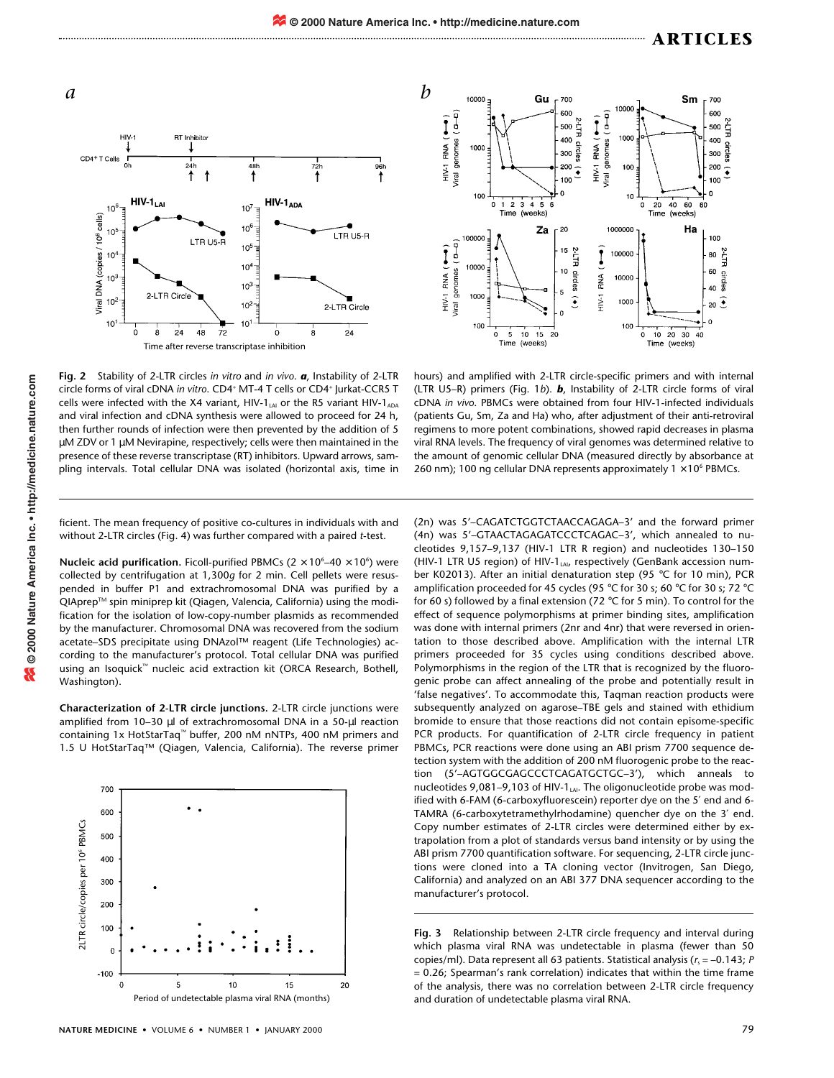





**Fig. 2** Stability of 2-LTR circles *in vitro* and *in vivo*. *a*, Instability of 2-LTR circle forms of viral cDNA *in vitro*. CD4<sup>+</sup> MT-4 T cells or CD4<sup>+</sup> Jurkat-CCR5 T cells were infected with the X4 variant, HIV-1 $_{AA}$  or the R5 variant HIV-1 $_{ADA}$ and viral infection and cDNA synthesis were allowed to proceed for 24 h, then further rounds of infection were then prevented by the addition of 5 µM ZDV or 1 µM Nevirapine, respectively; cells were then maintained in the presence of these reverse transcriptase (RT) inhibitors. Upward arrows, sampling intervals. Total cellular DNA was isolated (horizontal axis, time in

hours) and amplified with 2-LTR circle-specific primers and with internal (LTR U5–R) primers (Fig. 1*b*). *b*, Instability of 2-LTR circle forms of viral cDNA *in vivo*. PBMCs were obtained from four HIV-1-infected individuals (patients Gu, Sm, Za and Ha) who, after adjustment of their anti-retroviral regimens to more potent combinations, showed rapid decreases in plasma viral RNA levels. The frequency of viral genomes was determined relative to the amount of genomic cellular DNA (measured directly by absorbance at 260 nm); 100 ng cellular DNA represents approximately  $1 \times 10^6$  PBMCs.

ficient. The mean frequency of positive co-cultures in individuals with and without 2-LTR circles (Fig. 4) was further compared with a paired *t*-test.

**Nucleic acid purification.** Ficoll-purified PBMCs  $(2 \times 10^6 - 40 \times 10^6)$  were collected by centrifugation at 1,300*g* for 2 min. Cell pellets were resuspended in buffer P1 and extrachromosomal DNA was purified by a QIAprep™ spin miniprep kit (Qiagen, Valencia, California) using the modification for the isolation of low-copy-number plasmids as recommended by the manufacturer. Chromosomal DNA was recovered from the sodium acetate–SDS precipitate using DNAzol™ reagent (Life Technologies) according to the manufacturer's protocol. Total cellular DNA was purified using an Isoquick™ nucleic acid extraction kit (ORCA Research, Bothell, Washington).

**Characterization of 2-LTR circle junctions.** 2-LTR circle junctions were amplified from 10–30 µl of extrachromosomal DNA in a 50-µl reaction containing 1x HotStarTaq™ buffer, 200 nM nNTPs, 400 nM primers and 1.5 U HotStarTaq™ (Qiagen, Valencia, California). The reverse primer



(2n) was 5'–CAGATCTGGTCTAACCAGAGA–3' and the forward primer (4n) was 5'–GTAACTAGAGATCCCTCAGAC–3', which annealed to nucleotides 9,157–9,137 (HIV-1 LTR R region) and nucleotides 130–150 (HIV-1 LTR U5 region) of HIV-1LAI, respectively (GenBank accession number K02013). After an initial denaturation step (95 °C for 10 min), PCR amplification proceeded for 45 cycles (95 °C for 30 s; 60 °C for 30 s; 72 °C for 60 s) followed by a final extension (72 °C for 5 min). To control for the effect of sequence polymorphisms at primer binding sites, amplification was done with internal primers (2nr and 4nr) that were reversed in orientation to those described above. Amplification with the internal LTR primers proceeded for 35 cycles using conditions described above. Polymorphisms in the region of the LTR that is recognized by the fluorogenic probe can affect annealing of the probe and potentially result in 'false negatives'. To accommodate this, Taqman reaction products were subsequently analyzed on agarose–TBE gels and stained with ethidium bromide to ensure that those reactions did not contain episome-specific PCR products. For quantification of 2-LTR circle frequency in patient PBMCs, PCR reactions were done using an ABI prism 7700 sequence detection system with the addition of 200 nM fluorogenic probe to the reaction (5'–AGTGGCGAGCCCTCAGATGCTGC–3'), which anneals to nucleotides 9,081-9,103 of HIV-1<sub>LAI</sub>. The oligonucleotide probe was modified with 6-FAM (6-carboxyfluorescein) reporter dye on the 5′ end and 6- TAMRA (6-carboxytetramethylrhodamine) quencher dye on the 3′ end. Copy number estimates of 2-LTR circles were determined either by extrapolation from a plot of standards versus band intensity or by using the ABI prism 7700 quantification software. For sequencing, 2-LTR circle junctions were cloned into a TA cloning vector (Invitrogen, San Diego, California) and analyzed on an ABI 377 DNA sequencer according to the manufacturer's protocol.

**Fig. 3** Relationship between 2-LTR circle frequency and interval during which plasma viral RNA was undetectable in plasma (fewer than 50 copies/ml). Data represent all 63 patients. Statistical analysis ( $r_s$  = -0.143; *P* = 0.26; Spearman's rank correlation) indicates that within the time frame of the analysis, there was no correlation between 2-LTR circle frequency and duration of undetectable plasma viral RNA.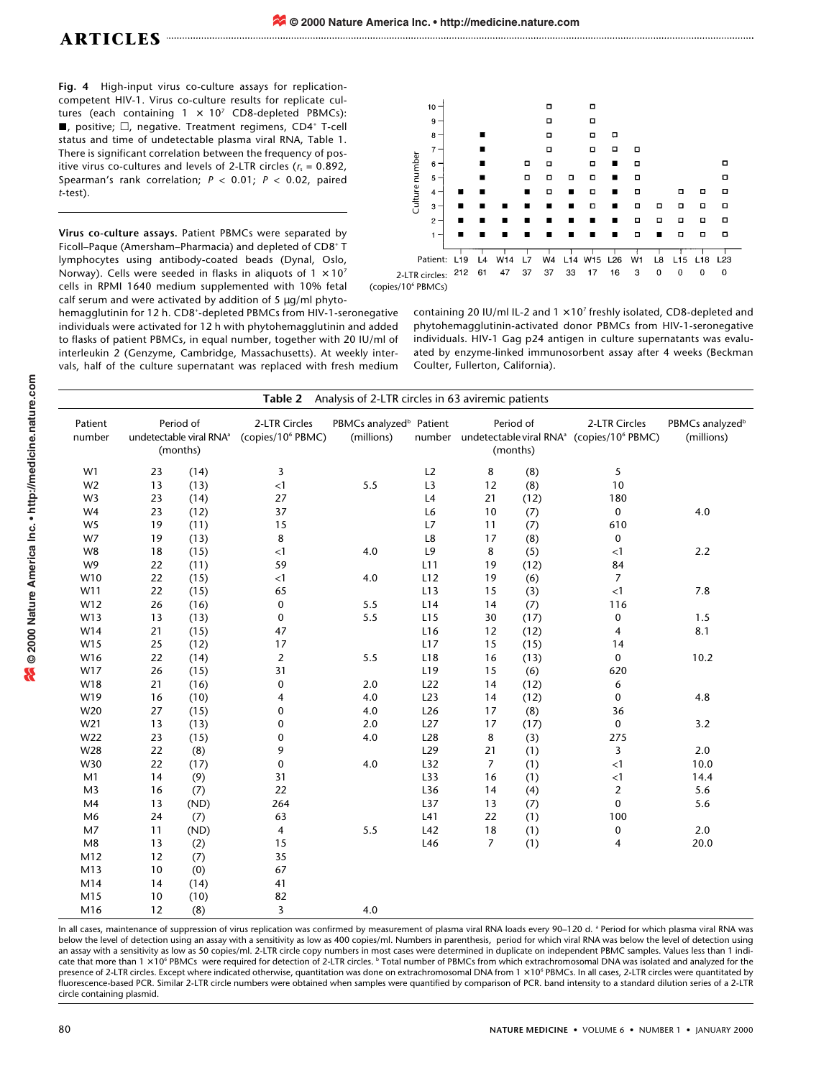**Fig. 4** High-input virus co-culture assays for replicationcompetent HIV-1. Virus co-culture results for replicate cultures (each containing  $1 \times 10^7$  CD8-depleted PBMCs):  $\blacksquare$ , positive;  $\Box$ , negative. Treatment regimens, CD4<sup>+</sup> T-cell status and time of undetectable plasma viral RNA, Table 1. There is significant correlation between the frequency of positive virus co-cultures and levels of 2-LTR circles  $(r_s = 0.892,$ Spearman's rank correlation; *P* < 0.01; *P* < 0.02, paired *t*-test).

**Virus co-culture assays.** Patient PBMCs were separated by Ficoll–Paque (Amersham–Pharmacia) and depleted of CD8+ T lymphocytes using antibody-coated beads (Dynal, Oslo, Norway). Cells were seeded in flasks in aliquots of  $1 \times 10^7$ cells in RPMI 1640 medium supplemented with 10% fetal calf serum and were activated by addition of 5 µg/ml phyto-

hemagglutinin for 12 h. CD8+ -depleted PBMCs from HIV-1-seronegative individuals were activated for 12 h with phytohemagglutinin and added to flasks of patient PBMCs, in equal number, together with 20 IU/ml of interleukin 2 (Genzyme, Cambridge, Massachusetts). At weekly intervals, half of the culture supernatant was replaced with fresh medium



containing 20 IU/ml IL-2 and  $1 \times 10^7$  freshly isolated, CD8-depleted and phytohemagglutinin-activated donor PBMCs from HIV-1-seronegative individuals. HIV-1 Gag p24 antigen in culture supernatants was evaluated by enzyme-linked immunosorbent assay after 4 weeks (Beckman Coulter, Fullerton, California).

| <b>Table 2</b> Analysis of 2-LTR circles in 63 aviremic patients |                                                              |      |                                                |                                                   |                 |                                                                                                   |      |                         |                                           |  |  |
|------------------------------------------------------------------|--------------------------------------------------------------|------|------------------------------------------------|---------------------------------------------------|-----------------|---------------------------------------------------------------------------------------------------|------|-------------------------|-------------------------------------------|--|--|
| Patient<br>number                                                | Period of<br>undetectable viral RNA <sup>a</sup><br>(months) |      | 2-LTR Circles<br>(copies/10 <sup>6</sup> PBMC) | PBMCs analyzed <sup>b</sup> Patient<br>(millions) |                 | Period of<br>number undetectable viral RNA <sup>a</sup> (copies/10 <sup>6</sup> PBMC)<br>(months) |      | 2-LTR Circles           | PBMCs analyzed <sup>b</sup><br>(millions) |  |  |
| W1                                                               | 23                                                           | (14) | 3                                              |                                                   | L2              | 8                                                                                                 | (8)  | 5                       |                                           |  |  |
| W <sub>2</sub>                                                   | 13                                                           | (13) | $\leq$ 1                                       | 5.5                                               | L3              | 12                                                                                                | (8)  | 10                      |                                           |  |  |
| W <sub>3</sub>                                                   | 23                                                           | (14) | 27                                             |                                                   | L4              | 21                                                                                                | (12) | 180                     |                                           |  |  |
| W <sub>4</sub>                                                   | 23                                                           | (12) | 37                                             |                                                   | L6              | 10                                                                                                | (7)  | $\mathbf 0$             | $4.0$                                     |  |  |
| W <sub>5</sub>                                                   | 19                                                           | (11) | 15                                             |                                                   | L7              | 11                                                                                                | (7)  | 610                     |                                           |  |  |
| W7                                                               | 19                                                           | (13) | 8                                              |                                                   | L8              | 17                                                                                                | (8)  | $\mathbf 0$             |                                           |  |  |
| W8                                                               | 18                                                           | (15) | <1                                             | 4.0                                               | L9              | 8                                                                                                 | (5)  | <1                      | 2.2                                       |  |  |
| W9                                                               | 22                                                           | (11) | 59                                             |                                                   | L11             | 19                                                                                                | (12) | 84                      |                                           |  |  |
| W10                                                              | 22                                                           | (15) | <1                                             | 4.0                                               | L12             | 19                                                                                                | (6)  | $\overline{7}$          |                                           |  |  |
| W11                                                              | 22                                                           | (15) | 65                                             |                                                   | L13             | 15                                                                                                | (3)  | $\leq$ 1                | 7.8                                       |  |  |
| W12                                                              | 26                                                           | (16) | $\pmb{0}$                                      | 5.5                                               | L14             | 14                                                                                                | (7)  | 116                     |                                           |  |  |
| W13                                                              | 13                                                           | (13) | $\pmb{0}$                                      | 5.5                                               | L15             | 30                                                                                                | (17) | $\pmb{0}$               | 1.5                                       |  |  |
| W14                                                              | 21                                                           | (15) | 47                                             |                                                   | L <sub>16</sub> | 12                                                                                                | (12) | $\overline{\mathbf{4}}$ | 8.1                                       |  |  |
| W15                                                              | 25                                                           | (12) | 17                                             |                                                   | L17             | 15                                                                                                | (15) | 14                      |                                           |  |  |
| W16                                                              | 22                                                           | (14) | $\overline{2}$                                 | 5.5                                               | L18             | 16                                                                                                | (13) | $\mathbf 0$             | 10.2                                      |  |  |
| W17                                                              | 26                                                           | (15) | 31                                             |                                                   | L <sub>19</sub> | 15                                                                                                | (6)  | 620                     |                                           |  |  |
| W18                                                              | 21                                                           | (16) | $\pmb{0}$                                      | 2.0                                               | L22             | 14                                                                                                | (12) | 6                       |                                           |  |  |
| W19                                                              | 16                                                           | (10) | 4                                              | 4.0                                               | L23             | 14                                                                                                | (12) | $\mathbf 0$             | 4.8                                       |  |  |
| W20                                                              | 27                                                           | (15) | 0                                              | 4.0                                               | L26             | 17                                                                                                | (8)  | 36                      |                                           |  |  |
| W21                                                              | 13                                                           | (13) | $\pmb{0}$                                      | 2.0                                               | L27             | 17                                                                                                | (17) | $\pmb{0}$               | 3.2                                       |  |  |
| W22                                                              | 23                                                           | (15) | 0                                              | $4.0$                                             | L28             | 8                                                                                                 | (3)  | 275                     |                                           |  |  |
| W28                                                              | 22                                                           | (8)  | 9                                              |                                                   | L29             | 21                                                                                                | (1)  | 3                       | 2.0                                       |  |  |
| W30                                                              | 22                                                           | (17) | $\pmb{0}$                                      | 4.0                                               | L32             | $\overline{7}$                                                                                    | (1)  | $<1\,$                  | 10.0                                      |  |  |
| M1                                                               | 14                                                           | (9)  | 31                                             |                                                   | L33             | 16                                                                                                | (1)  | $<1\,$                  | 14.4                                      |  |  |
| M <sub>3</sub>                                                   | 16                                                           | (7)  | 22                                             |                                                   | L36             | 14                                                                                                | (4)  | $\overline{2}$          | 5.6                                       |  |  |
| M <sub>4</sub>                                                   | 13                                                           | (ND) | 264                                            |                                                   | L37             | 13                                                                                                | (7)  | $\mathbf 0$             | 5.6                                       |  |  |
| M6                                                               | 24                                                           | (7)  | 63                                             |                                                   | L41             | 22                                                                                                | (1)  | 100                     |                                           |  |  |
| M7                                                               | 11                                                           | (ND) | 4                                              | 5.5                                               | L42             | 18                                                                                                | (1)  | $\pmb{0}$               | 2.0                                       |  |  |
| M8                                                               | 13                                                           | (2)  | 15                                             |                                                   | L46             | $\overline{7}$                                                                                    | (1)  | 4                       | 20.0                                      |  |  |
| M12                                                              | 12                                                           | (7)  | 35                                             |                                                   |                 |                                                                                                   |      |                         |                                           |  |  |
| M13                                                              | 10                                                           | (0)  | 67                                             |                                                   |                 |                                                                                                   |      |                         |                                           |  |  |
| M14                                                              | 14                                                           | (14) | 41                                             |                                                   |                 |                                                                                                   |      |                         |                                           |  |  |
| M15                                                              | 10                                                           | (10) | 82                                             |                                                   |                 |                                                                                                   |      |                         |                                           |  |  |
| M16                                                              | 12                                                           | (8)  | $\overline{3}$                                 | 4.0                                               |                 |                                                                                                   |      |                         |                                           |  |  |

In all cases, maintenance of suppression of virus replication was confirmed by measurement of plasma viral RNA loads every 90-120 d. <sup>a</sup> Period for which plasma viral RNA was below the level of detection using an assay with a sensitivity as low as 400 copies/ml. Numbers in parenthesis, period for which viral RNA was below the level of detection using an assay with a sensitivity as low as 50 copies/ml. 2-LTR circle copy numbers in most cases were determined in duplicate on independent PBMC samples. Values less than 1 indicate that more than  $1 \times 10^6$  PBMCs were required for detection of 2-LTR circles.  $^b$  Total number of PBMCs from which extrachromosomal DNA was isolated and analyzed for the presence of 2-LTR circles. Except where indicated otherwise, quantitation was done on extrachromosomal DNA from 1 × 10<sup>6</sup> PBMCs. In all cases, 2-LTR circles were quantitated by fluorescence-based PCR. Similar 2-LTR circle numbers were obtained when samples were quantified by comparison of PCR. band intensity to a standard dilution series of a 2-LTR circle containing plasmid.